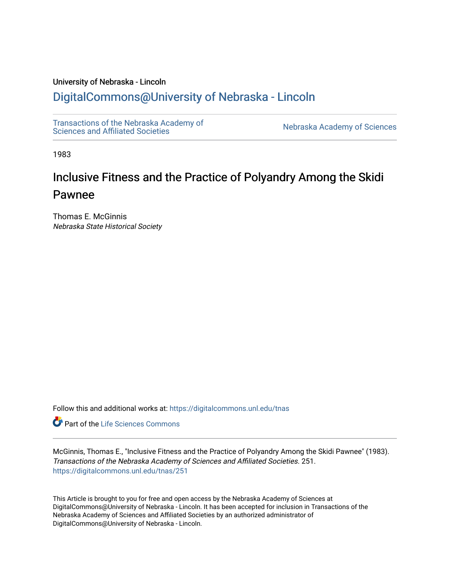### University of Nebraska - Lincoln

### [DigitalCommons@University of Nebraska - Lincoln](https://digitalcommons.unl.edu/)

[Transactions of the Nebraska Academy of](https://digitalcommons.unl.edu/tnas) 

Nebraska Academy of Sciences

1983

# Inclusive Fitness and the Practice of Polyandry Among the Skidi Pawnee

Thomas E. McGinnis Nebraska State Historical Society

Follow this and additional works at: [https://digitalcommons.unl.edu/tnas](https://digitalcommons.unl.edu/tnas?utm_source=digitalcommons.unl.edu%2Ftnas%2F251&utm_medium=PDF&utm_campaign=PDFCoverPages) 

Part of the [Life Sciences Commons](http://network.bepress.com/hgg/discipline/1016?utm_source=digitalcommons.unl.edu%2Ftnas%2F251&utm_medium=PDF&utm_campaign=PDFCoverPages) 

McGinnis, Thomas E., "Inclusive Fitness and the Practice of Polyandry Among the Skidi Pawnee" (1983). Transactions of the Nebraska Academy of Sciences and Affiliated Societies. 251. [https://digitalcommons.unl.edu/tnas/251](https://digitalcommons.unl.edu/tnas/251?utm_source=digitalcommons.unl.edu%2Ftnas%2F251&utm_medium=PDF&utm_campaign=PDFCoverPages) 

This Article is brought to you for free and open access by the Nebraska Academy of Sciences at DigitalCommons@University of Nebraska - Lincoln. It has been accepted for inclusion in Transactions of the Nebraska Academy of Sciences and Affiliated Societies by an authorized administrator of DigitalCommons@University of Nebraska - Lincoln.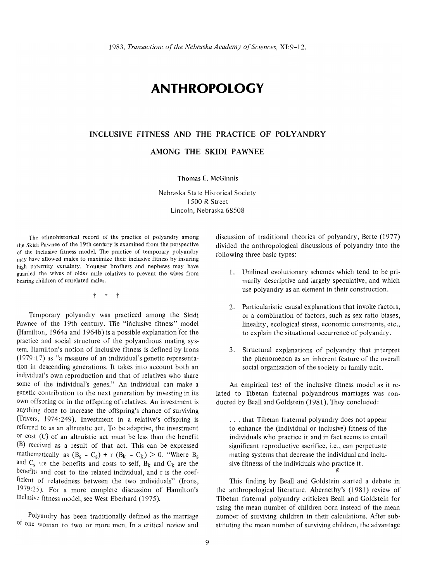## **ANTHROPOLOGY**

### **INCLUSIVE FITNESS AND THE PRACTICE OF POLYANDRY**

**AMONG THE SKIDI PAWNEE** 

Thomas E. McGinnis

Nebraska State Historical Society 1500 R Street Lincoln, Nebraska 68508

The ethnohistorical record of the practice of polyandry among the Skidi Pawnee of the 19th century is examined from the perspective of the inclusive fitness model. The practice of temporary polyandry may have allowed males to maximize their inclusive fitness by insuring high paternity certainty. Younger brothers and nephews may have guarded the wives of older male relatives to prevent the wives from bearing children of unrelated males.

t t t

Temporary polyandry was practiced among the Skidi Pawnee of the 19th century. The "inclusive fitness" model (Hamilton, 1964a and 1964b) is a possible explanation for the practice and social structure of the polyandrous mating system. Hamilton's notion of inclusive fitness is defined by Irons  $(1979:17)$  as "a measure of an individual's genetic representation in descending generations. It takes into account both an individual's own reproduction and that of relatives who share some of the individual's genes." An individual can make a genetic contribution to the next generation by investing in its own offspring or in the offspring of relatives. An investment is anything done to increase the offspring's chance of surviving (Trivers, 1974:249). Investment in a relative's offspring is referred to as an altruistic act. To be adaptive, the investment or cost (C) of an altruistic act must be less than the benefit (B) received as a result of that act. This can be expressed mathematically as  $(B_s - C_s) + r (B_k - C_k) > 0$ . "Where  $B_s$ and  $C_s$  are the benefits and costs to self,  $B_k$  and  $C_k$  are the benefits and cost to the related individual, and r is the coefficient of relatedness between the two individuals" (Irons, 1979 :25). For a more complete discussion of Hamilton's inclusive fitness model, see West Eberhard (1975).

Polyandry has been traditionally defined as the marriage of one woman to two or more men. **In** a critical review and

discussion of traditional theories of polyandry, Berte (1977) divided the anthropological discussions of polyandry into the following three basic types:

- 1. Unilineal evolutionary schemes which tend to be primarily descriptive and largely speculative, and which use polyandry as an element in their construction.
- 2. Particularistic causal explanations that invoke factors, or a combination of factors, such as sex ratio biases, lineality, ecological stress, economic constraints, etc., to explain the situational occurrence of polyandry.
- 3. Structural explanations of polyandry that interpret the phenomenon as an inherent feature of the overall social organization of the society or family unit.

An empirical test of the inclusive fitness model as it related to Tibetan fraternal polyandrous marriages was conducted by Beall and Goldstein (1981). They concluded:

... that Tibetan fraternal polyandry does not appear to enhance the (individual or inclusive) fitness of the individuals who practice it and in fact seems to entail significant reproductive sacrifice, i.e., can perpetuate mating systems that decrease the individual and inclusive fitnesss of the individuals who practice it.  $^{\prime\prime}$ 

This finding by Beall and Goldstein started a debate in the anthropological literature. Abernethy's (1981) review of Tibetan fraternal polyandry criticizes Beall and Goldstein for using the mean number of children born instead of the mean number of surviving children in their calculations. After substituting the mean number of surviving children, the advantage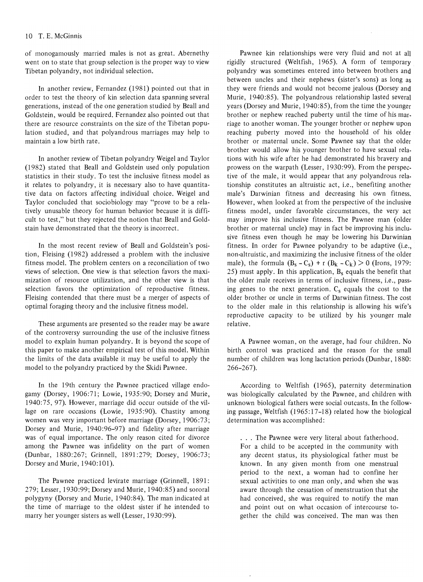of monogamously married males is not as great. Abernethy went on to state that group selection is the proper way to view Tibetan polyandry, not individual selection.

In another review, Fernandez (1981) pointed out that in order to test the theory of kin selection data spanning several generations, instead of the one generation studied by Beall and Goldstein, would be required. Fernandez also pointed out that there are resource constraints on the size of the Tibetan population studied, and that polyandrous marriages may help to maintain a low birth rate.

In another review of Tibetan polyandry Weigel and Taylor (1982) stated that Beall and Goldstein used only population statistics in their study. To test the inclusive fitness model as it relates to polyandry, it is necessary also to have quantitative data on factors affecting individual choice. Weigel and Taylor concluded that sociobiology may "prove to be a relatively unusable theory for human behavior because it is difficult to test," but they rejected the notion that Beall and Goldstain have demonstrated that the theory is incorrect.

In the most recent review of Beall and Goldstein's position, Fleising (1982) addressed a problem with the inclusive fitness model. The problem centers on a reconciliation of two views of selection. One view is that selection favors the maximization of resource utilization, and the other view is that selection favors the optimization of reproductive fitness. Fleising contended that there must be a merger of aspects of optimal foraging theory and the inclusive fitness model.

These arguments are presented so the reader may be aware of the controversy surrounding the use of the inclusive fitness model to explain human polyandry. It is beyond the scope of this paper to make another empirical test of this model. Within the limits of the data available it may be useful to apply the model to the polyandry practiced by the Skidi Pawnee.

In the 19th century the Pawnee practiced village endogamy (Dorsey, 1906:71; Lowie, 1935:90; Dorsey and Murie, 1940: 75, 97). However, marriage did occur outside of the village on rare occasions (Lowie, 1935:90). Chastity among women was very important before marriage (Dorsey, 1906:73; Dorsey and Murie, 1940:96-97) and fidelity after marriage was of equal importance. The only reason cited for divorce among the Pawnee was infidelity on the part of women (Dunbar, 1880:267; Grinnell, 1891 :279; Dorsey, 1906:73; Dorsey and Murie, 1940:101).

The Pawnee practiced levirate marriage (Grinnell, 1891: 279; Lesser, 1930:99; Dorsey and Murie, 1940:85) and sororal polygyny (Dorsey and Murie, 1940:84). The man indicated at the time of marriage to the oldest sister if he intended to marry her younger sisters as well (Lesser, 1930:99).

Pawnee kin relationships were very fluid and not at all rigidly structured (Weltfish, 1965). A form of temporary polyandry was sometimes entered into between brothers and between uncles and their nephews (sister's sons) as long as they were friends and would not become jealous (Dorsey and Murie, 1940:85). The polyandrous relationship lasted several years (Dorsey and Murie, 1940:85), from the time the younger brother or nephew reached puberty until the time of his marriage to another woman. The younger brother or nephew upon reaching puberty moved into the household of his older brother or maternal uncle. Some Pawnee say that the older brother would allow his younger brother to have sexual relations with his wife after he had demonstrated his bravery and prowess on the warpath (Lesser, 1930:99). From the perspective of the male, it would appear that any polyandrous relationship constitutes an altruistic act, i.e., benefiting another male's Darwinian fitness and decreasing his own fitness. However, when looked at from the perspective of the inclusive fitness model, under favorable circumstances, the very act may improve his inclusive fitness. The Pawnee man (older brother or maternal uncle) may in fact be improving his inclusive fitness even though he may be lowering his Darwinian. fitness. In order for Pawnee polyandry to be adaptive (i.e., non-altruistic, and maximizing the inclusive fitness of the older male), the formula  $(B_s - C_s) + r (B_k - C_k) > 0$  (Irons, 1979: 25) must apply. In this application,  $B_s$  equals the benefit that the older male receives in terms of inclusive fitness, i.e., passing genes to the next generation.  $C_s$  equals the cost to the older brother or uncle in terms of Darwinian fitness. The cost to the older male in this relationship is allowing his wife's reproductive capacity to be utilized by his younger male relative.

A Pawnee woman, on the average, had four children. No birth control was practiced and the reason for the small number of children was long lactation periods (Dunbar, 1880: 266-267).

According to Weltfish (1965), paternity determination was biologically calculated by the Pawnee, and children with unknown biological fathers were social outcasts. In the following passage, Weltfish (1965:17-18) related how the biological determination was accomplished:

... The Pawnee were very literal about fatherhood. For a child to be accepted in the community with any decent status, its physiological father must be known. In any given month from one menstrual period to the next, a woman had to confine her sexual activities to one man only, and when she was aware through the cessation of menstruation that she had conceived, she was required to notify the man and point out on what occasion of intercourse together the child was conceived. The man was then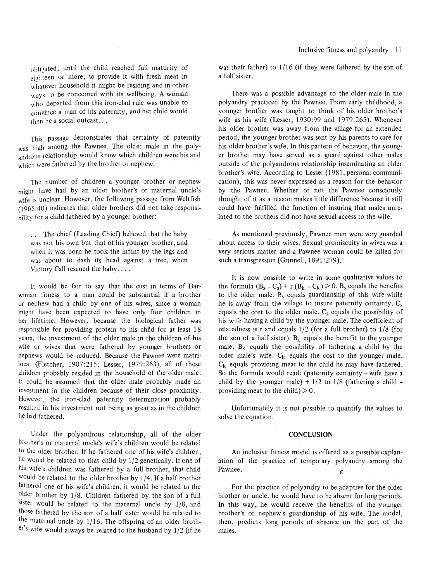obligated, until the child reached full maturity of eighteen or more, to provide it with fresh meat in whatever household it might be residing and in other ways to be concerned with its wellbeing. A woman who departed from this iron-clad rule was unable to convince a man of his paternity, and her child would then be a social outcast. ...

This passage demonstrates that certainty of paternity was high among the Pawnee. The older male in the polyandrous relationship would know which children were his and which were fathered by the brother or nephew.

The number of children a younger brother or nephew might have had by an older brother's or maternal uncle's wife is unclear. However, the following passage from Weltfish (1965 :40) indicates that older brothers did not take responsibility for a child fathered by a younger brother:

... The chief (Leading Chief) believed that the baby was not his own but that of his younger brother, and when it was born he took the infant by the legs and was about to dash its head against a tree, when Victory Call rescued the baby....

It would be fair to say that the cost in terms of Darwinian fitness to a man could be substantial if a brother or nephew had a child by one of his wives, since a woman might have been expected to have only four children in her lifetime. However, because the biological father was responsible for providing protein to his child for at least 18 years, the investment of the older male in the children of his wife or wives that were fathered by younger brothers or nephews would be reduced. Because the Pawnee were matrilocal (Fletcher, 1907:215; Lesser, 1979:263), all of these children probably resided in the household of the older male. It could be assumed that the older male probably made an investment in the children because of their close proximity. However, the iron-clad paternity determination probably resulted in his investment not being as great as in the children he had fathered.

Under the polyandrous relationship, all of the older brother's or maternal uncle's wife's children would be related to the older brother. If he fathered one of his wife's children, he would be related to that child by 1/2 genetically. If one of his wife's children was fathered by a full brother, that child would be related to the older brother by 1/4. If a half brother fathered one of his wife's children, it would be related to the older brother by 1/8. Children fathered by the son of a full sister would be related to the maternal uncle by 1/8, and those fathered by the son of a half sister would be related to the maternal uncle by 1/16. The offspring of an older brother's wife would always be related to the husband by 1/2 (if he

was their father) to 1/16 (if they were fathered by the son of a half sister.

There was a possible advantage to the older male in the polyandry practiced by the Pawnee. From early childhood, a younger brother was taught to think of his older brother's wife as his wife (Lesser, 1930:99 and 1979:265). Whenever his older brother was away from the village for an extended period, the younger brother was sent by his parents to care for his older brother's wife. In this pattern of behavior, the younger brother may have served as a guard against other males outside of the polyandrous relationship inseminating an older brother's wife. According to Lesser (1981, personal communication), this was never expressed as a reason for the behavior by the Pawnee. Whether or not the Pawnee consciously thought of it as a reason makes little difference because it still could have fulfilled the function of insuring that males unrelated to the brothers did not have sexual access to the wife.

As mentioned previously, Pawnee men were very guarded about access to their wives. Sexual promiscuity in wives was a very serious matter and a Pawnee woman could be killed for such a transgression (Grinnell, 1891:279).

It is now possible to write in some qualitative values to the formula  $(B_s - C_s) + r (B_k - C_k) > 0$ . B<sub>s</sub> equals the benefits to the older male.  $B_s$  equals guardianship of this wife while he is away from the village to insure paternity certainty.  $C_s$ equals the cost to the older male.  $C_s$  equals the possibility of his wife having a child by the younger male. The coefficient of relatedness is r and equals  $1/2$  (for a full brother) to  $1/8$  (for the son of a half sister). B<sub>k</sub> equals the benefit to the younger male.  $B_k$  equals the possibility of fathering a child by the older male's wife.  $C_k$  equals the cost to the younger male.  $C_k$  equals providing meat to the child he may have fathered. So the formula would read: (paternity certainty - wife have a child by the younger male)  $+1/2$  to  $1/8$  (fathering a child providing meat to the child)  $> 0$ .

Unfortunately it is not possible to quantify the values to solve the equation.

#### **CONCLUSION**

An inclusive fitness model is offered as a possible explanation of the practice of temporary polyandry among the Pawnee.

For the practice of polyandry to be adaptive for the older brother or uncle, he would have to be absent for long periods. In this way, he would receive the benefits of the younger brother's or nephew's guardianship of his wife. The model, then, predicts long periods of absence on the part of the males.